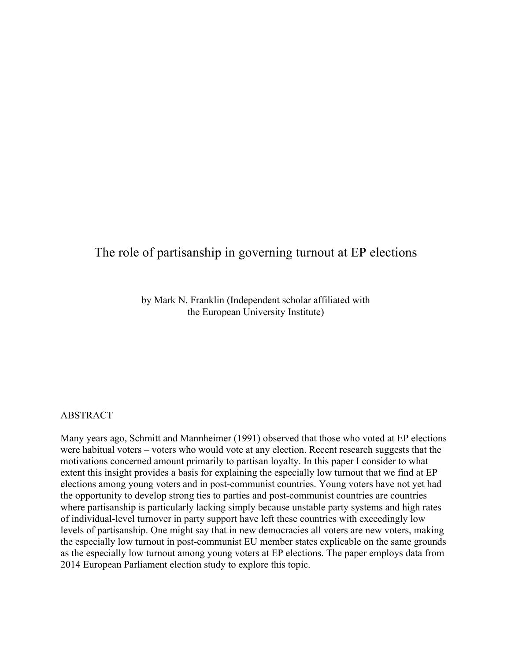# The role of partisanship in governing turnout at EP elections

by Mark N. Franklin (Independent scholar affiliated with the European University Institute)

### ABSTRACT

Many years ago, Schmitt and Mannheimer (1991) observed that those who voted at EP elections were habitual voters – voters who would vote at any election. Recent research suggests that the motivations concerned amount primarily to partisan loyalty. In this paper I consider to what extent this insight provides a basis for explaining the especially low turnout that we find at EP elections among young voters and in post-communist countries. Young voters have not yet had the opportunity to develop strong ties to parties and post-communist countries are countries where partisanship is particularly lacking simply because unstable party systems and high rates of individual-level turnover in party support have left these countries with exceedingly low levels of partisanship. One might say that in new democracies all voters are new voters, making the especially low turnout in post-communist EU member states explicable on the same grounds as the especially low turnout among young voters at EP elections. The paper employs data from 2014 European Parliament election study to explore this topic.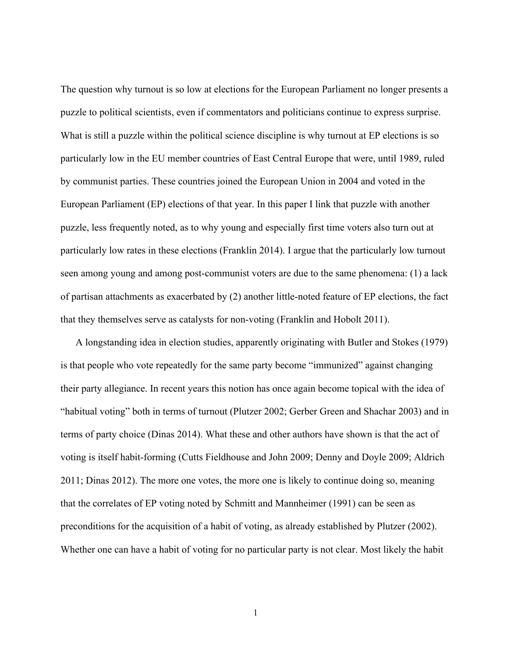The question why turnout is so low at elections for the European Parliament no longer presents a puzzle to political scientists, even if commentators and politicians continue to express surprise. What is still a puzzle within the political science discipline is why turnout at EP elections is so particularly low in the EU member countries of East Central Europe that were, until 1989, ruled by communist parties. These countries joined the European Union in 2004 and voted in the European Parliament (EP) elections of that year. In this paper I link that puzzle with another puzzle, less frequently noted, as to why young and especially first time voters also turn out at particularly low rates in these elections (Franklin 2014). I argue that the particularly low turnout seen among young and among post-communist voters are due to the same phenomena: (1) a lack of partisan attachments as exacerbated by (2) another little-noted feature of EP elections, the fact that they themselves serve as catalysts for non-voting (Franklin and Hobolt 2011).

A longstanding idea in election studies, apparently originating with Butler and Stokes (1979) is that people who vote repeatedly for the same party become "immunized" against changing their party allegiance. In recent years this notion has once again become topical with the idea of "habitual voting" both in terms of turnout (Plutzer 2002; Gerber Green and Shachar 2003) and in terms of party choice (Dinas 2014). What these and other authors have shown is that the act of voting is itself habit-forming (Cutts Fieldhouse and John 2009; Denny and Doyle 2009; Aldrich 2011; Dinas 2012). The more one votes, the more one is likely to continue doing so, meaning that the correlates of EP voting noted by Schmitt and Mannheimer (1991) can be seen as preconditions for the acquisition of a habit of voting, as already established by Plutzer (2002). Whether one can have a habit of voting for no particular party is not clear. Most likely the habit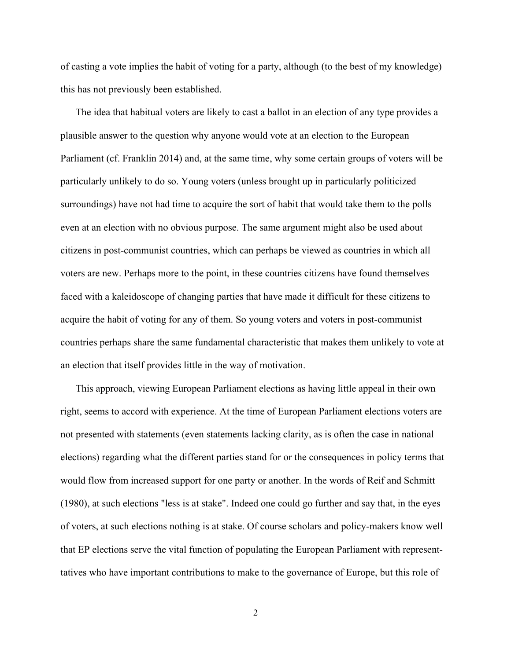of casting a vote implies the habit of voting for a party, although (to the best of my knowledge) this has not previously been established.

The idea that habitual voters are likely to cast a ballot in an election of any type provides a plausible answer to the question why anyone would vote at an election to the European Parliament (cf. Franklin 2014) and, at the same time, why some certain groups of voters will be particularly unlikely to do so. Young voters (unless brought up in particularly politicized surroundings) have not had time to acquire the sort of habit that would take them to the polls even at an election with no obvious purpose. The same argument might also be used about citizens in post-communist countries, which can perhaps be viewed as countries in which all voters are new. Perhaps more to the point, in these countries citizens have found themselves faced with a kaleidoscope of changing parties that have made it difficult for these citizens to acquire the habit of voting for any of them. So young voters and voters in post-communist countries perhaps share the same fundamental characteristic that makes them unlikely to vote at an election that itself provides little in the way of motivation.

This approach, viewing European Parliament elections as having little appeal in their own right, seems to accord with experience. At the time of European Parliament elections voters are not presented with statements (even statements lacking clarity, as is often the case in national elections) regarding what the different parties stand for or the consequences in policy terms that would flow from increased support for one party or another. In the words of Reif and Schmitt (1980), at such elections "less is at stake". Indeed one could go further and say that, in the eyes of voters, at such elections nothing is at stake. Of course scholars and policy-makers know well that EP elections serve the vital function of populating the European Parliament with representtatives who have important contributions to make to the governance of Europe, but this role of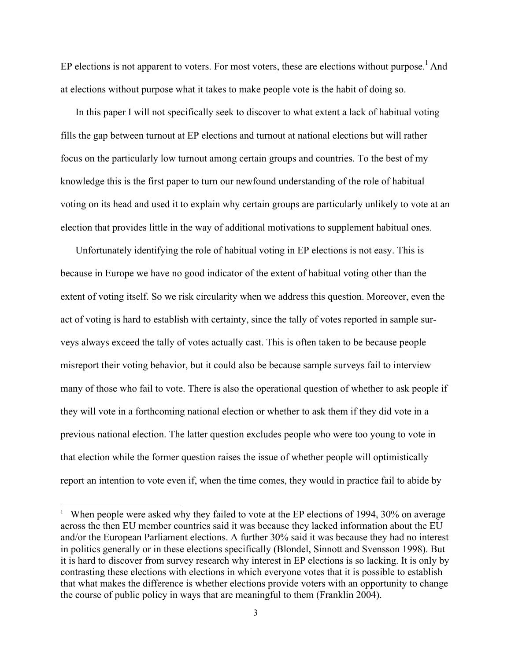EP elections is not apparent to voters. For most voters, these are elections without purpose.<sup>1</sup> And at elections without purpose what it takes to make people vote is the habit of doing so.

In this paper I will not specifically seek to discover to what extent a lack of habitual voting fills the gap between turnout at EP elections and turnout at national elections but will rather focus on the particularly low turnout among certain groups and countries. To the best of my knowledge this is the first paper to turn our newfound understanding of the role of habitual voting on its head and used it to explain why certain groups are particularly unlikely to vote at an election that provides little in the way of additional motivations to supplement habitual ones.

Unfortunately identifying the role of habitual voting in EP elections is not easy. This is because in Europe we have no good indicator of the extent of habitual voting other than the extent of voting itself. So we risk circularity when we address this question. Moreover, even the act of voting is hard to establish with certainty, since the tally of votes reported in sample surveys always exceed the tally of votes actually cast. This is often taken to be because people misreport their voting behavior, but it could also be because sample surveys fail to interview many of those who fail to vote. There is also the operational question of whether to ask people if they will vote in a forthcoming national election or whether to ask them if they did vote in a previous national election. The latter question excludes people who were too young to vote in that election while the former question raises the issue of whether people will optimistically report an intention to vote even if, when the time comes, they would in practice fail to abide by

<sup>&</sup>lt;sup>1</sup> When people were asked why they failed to vote at the EP elections of 1994, 30% on average across the then EU member countries said it was because they lacked information about the EU and/or the European Parliament elections. A further 30% said it was because they had no interest in politics generally or in these elections specifically (Blondel, Sinnott and Svensson 1998). But it is hard to discover from survey research why interest in EP elections is so lacking. It is only by contrasting these elections with elections in which everyone votes that it is possible to establish that what makes the difference is whether elections provide voters with an opportunity to change the course of public policy in ways that are meaningful to them (Franklin 2004).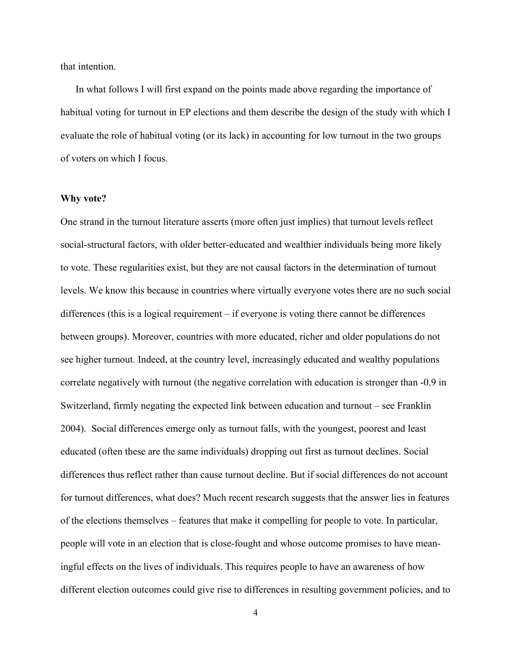that intention.

In what follows I will first expand on the points made above regarding the importance of habitual voting for turnout in EP elections and them describe the design of the study with which I evaluate the role of habitual voting (or its lack) in accounting for low turnout in the two groups of voters on which I focus.

#### **Why vote?**

One strand in the turnout literature asserts (more often just implies) that turnout levels reflect social-structural factors, with older better-educated and wealthier individuals being more likely to vote. These regularities exist, but they are not causal factors in the determination of turnout levels. We know this because in countries where virtually everyone votes there are no such social differences (this is a logical requirement – if everyone is voting there cannot be differences between groups). Moreover, countries with more educated, richer and older populations do not see higher turnout. Indeed, at the country level, increasingly educated and wealthy populations correlate negatively with turnout (the negative correlation with education is stronger than -0.9 in Switzerland, firmly negating the expected link between education and turnout – see Franklin 2004). Social differences emerge only as turnout falls, with the youngest, poorest and least educated (often these are the same individuals) dropping out first as turnout declines. Social differences thus reflect rather than cause turnout decline. But if social differences do not account for turnout differences, what does? Much recent research suggests that the answer lies in features of the elections themselves – features that make it compelling for people to vote. In particular, people will vote in an election that is close-fought and whose outcome promises to have meaningful effects on the lives of individuals. This requires people to have an awareness of how different election outcomes could give rise to differences in resulting government policies, and to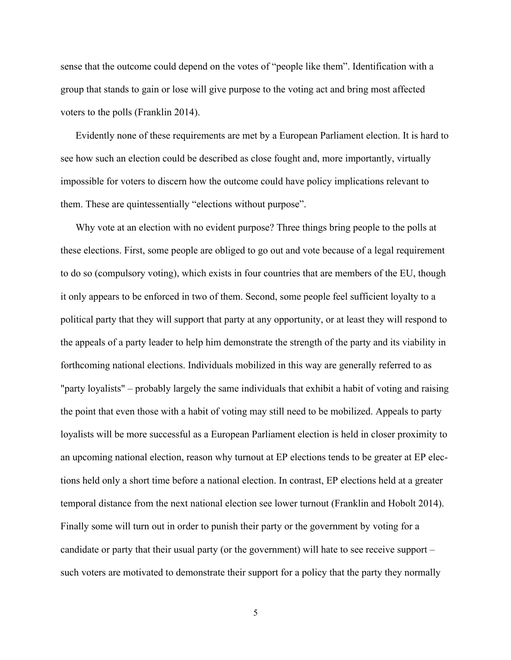sense that the outcome could depend on the votes of "people like them". Identification with a group that stands to gain or lose will give purpose to the voting act and bring most affected voters to the polls (Franklin 2014).

Evidently none of these requirements are met by a European Parliament election. It is hard to see how such an election could be described as close fought and, more importantly, virtually impossible for voters to discern how the outcome could have policy implications relevant to them. These are quintessentially "elections without purpose".

Why vote at an election with no evident purpose? Three things bring people to the polls at these elections. First, some people are obliged to go out and vote because of a legal requirement to do so (compulsory voting), which exists in four countries that are members of the EU, though it only appears to be enforced in two of them. Second, some people feel sufficient loyalty to a political party that they will support that party at any opportunity, or at least they will respond to the appeals of a party leader to help him demonstrate the strength of the party and its viability in forthcoming national elections. Individuals mobilized in this way are generally referred to as "party loyalists" – probably largely the same individuals that exhibit a habit of voting and raising the point that even those with a habit of voting may still need to be mobilized. Appeals to party loyalists will be more successful as a European Parliament election is held in closer proximity to an upcoming national election, reason why turnout at EP elections tends to be greater at EP elections held only a short time before a national election. In contrast, EP elections held at a greater temporal distance from the next national election see lower turnout (Franklin and Hobolt 2014). Finally some will turn out in order to punish their party or the government by voting for a candidate or party that their usual party (or the government) will hate to see receive support – such voters are motivated to demonstrate their support for a policy that the party they normally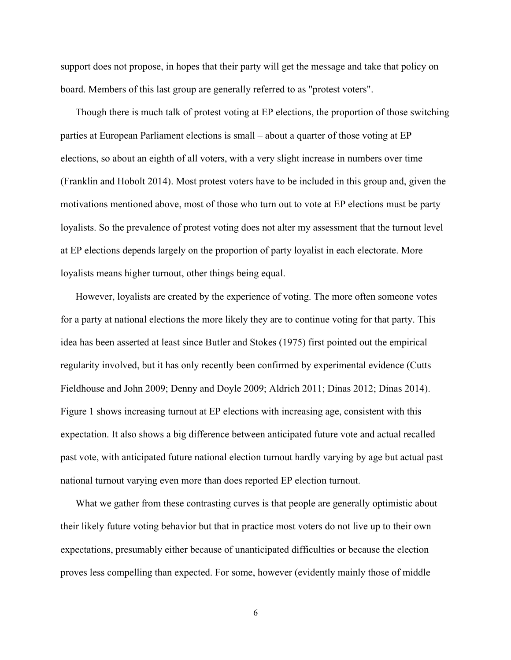support does not propose, in hopes that their party will get the message and take that policy on board. Members of this last group are generally referred to as "protest voters".

Though there is much talk of protest voting at EP elections, the proportion of those switching parties at European Parliament elections is small – about a quarter of those voting at EP elections, so about an eighth of all voters, with a very slight increase in numbers over time (Franklin and Hobolt 2014). Most protest voters have to be included in this group and, given the motivations mentioned above, most of those who turn out to vote at EP elections must be party loyalists. So the prevalence of protest voting does not alter my assessment that the turnout level at EP elections depends largely on the proportion of party loyalist in each electorate. More loyalists means higher turnout, other things being equal.

However, loyalists are created by the experience of voting. The more often someone votes for a party at national elections the more likely they are to continue voting for that party. This idea has been asserted at least since Butler and Stokes (1975) first pointed out the empirical regularity involved, but it has only recently been confirmed by experimental evidence (Cutts Fieldhouse and John 2009; Denny and Doyle 2009; Aldrich 2011; Dinas 2012; Dinas 2014). Figure 1 shows increasing turnout at EP elections with increasing age, consistent with this expectation. It also shows a big difference between anticipated future vote and actual recalled past vote, with anticipated future national election turnout hardly varying by age but actual past national turnout varying even more than does reported EP election turnout.

What we gather from these contrasting curves is that people are generally optimistic about their likely future voting behavior but that in practice most voters do not live up to their own expectations, presumably either because of unanticipated difficulties or because the election proves less compelling than expected. For some, however (evidently mainly those of middle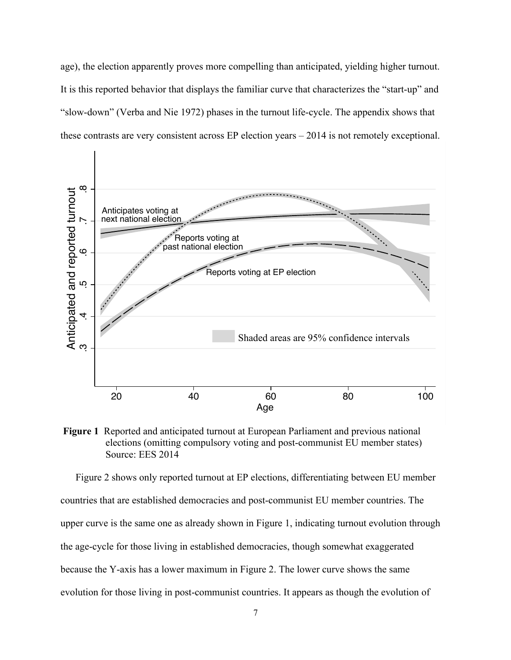age), the election apparently proves more compelling than anticipated, yielding higher turnout. It is this reported behavior that displays the familiar curve that characterizes the "start-up" and "slow-down" (Verba and Nie 1972) phases in the turnout life-cycle. The appendix shows that these contrasts are very consistent across EP election years – 2014 is not remotely exceptional.



**Figure 1** Reported and anticipated turnout at European Parliament and previous national elections (omitting compulsory voting and post-communist EU member states) Source: EES 2014

Figure 2 shows only reported turnout at EP elections, differentiating between EU member countries that are established democracies and post-communist EU member countries. The upper curve is the same one as already shown in Figure 1, indicating turnout evolution through the age-cycle for those living in established democracies, though somewhat exaggerated because the Y-axis has a lower maximum in Figure 2. The lower curve shows the same evolution for those living in post-communist countries. It appears as though the evolution of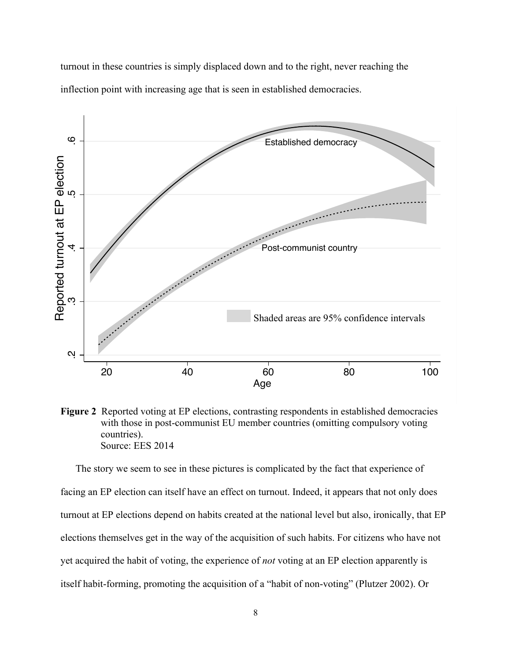turnout in these countries is simply displaced down and to the right, never reaching the inflection point with increasing age that is seen in established democracies.



**Figure 2** Reported voting at EP elections, contrasting respondents in established democracies with those in post-communist EU member countries (omitting compulsory voting countries). Source: EES 2014

The story we seem to see in these pictures is complicated by the fact that experience of facing an EP election can itself have an effect on turnout. Indeed, it appears that not only does turnout at EP elections depend on habits created at the national level but also, ironically, that EP elections themselves get in the way of the acquisition of such habits. For citizens who have not yet acquired the habit of voting, the experience of *not* voting at an EP election apparently is itself habit-forming, promoting the acquisition of a "habit of non-voting" (Plutzer 2002). Or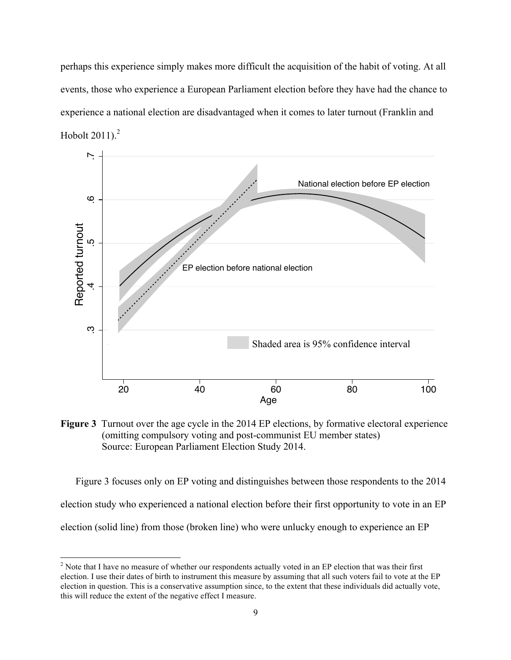perhaps this experience simply makes more difficult the acquisition of the habit of voting. At all events, those who experience a European Parliament election before they have had the chance to experience a national election are disadvantaged when it comes to later turnout (Franklin and Hobolt 2011). 2



**Figure 3** Turnout over the age cycle in the 2014 EP elections, by formative electoral experience (omitting compulsory voting and post-communist EU member states) Source: European Parliament Election Study 2014.

Figure 3 focuses only on EP voting and distinguishes between those respondents to the 2014 election study who experienced a national election before their first opportunity to vote in an EP election (solid line) from those (broken line) who were unlucky enough to experience an EP

<sup>&</sup>lt;sup>2</sup> Note that I have no measure of whether our respondents actually voted in an EP election that was their first election. I use their dates of birth to instrument this measure by assuming that all such voters fail to vote at the EP election in question. This is a conservative assumption since, to the extent that these individuals did actually vote, this will reduce the extent of the negative effect I measure.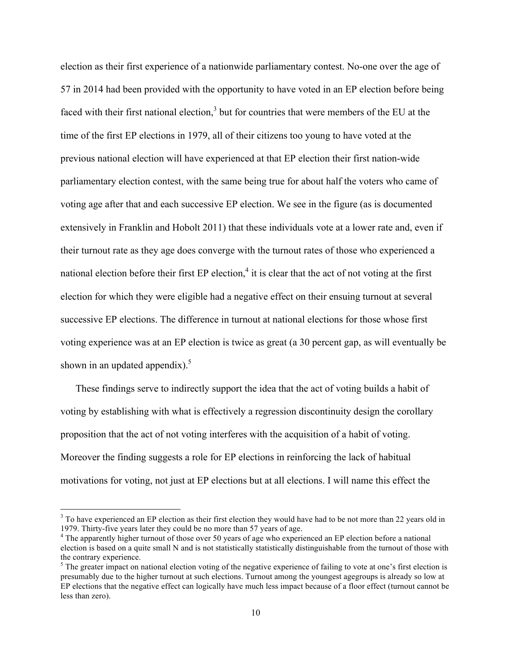election as their first experience of a nationwide parliamentary contest. No-one over the age of 57 in 2014 had been provided with the opportunity to have voted in an EP election before being faced with their first national election, $3$  but for countries that were members of the EU at the time of the first EP elections in 1979, all of their citizens too young to have voted at the previous national election will have experienced at that EP election their first nation-wide parliamentary election contest, with the same being true for about half the voters who came of voting age after that and each successive EP election. We see in the figure (as is documented extensively in Franklin and Hobolt 2011) that these individuals vote at a lower rate and, even if their turnout rate as they age does converge with the turnout rates of those who experienced a national election before their first  $EP$  election,<sup>4</sup> it is clear that the act of not voting at the first election for which they were eligible had a negative effect on their ensuing turnout at several successive EP elections. The difference in turnout at national elections for those whose first voting experience was at an EP election is twice as great (a 30 percent gap, as will eventually be shown in an updated appendix).<sup>5</sup>

These findings serve to indirectly support the idea that the act of voting builds a habit of voting by establishing with what is effectively a regression discontinuity design the corollary proposition that the act of not voting interferes with the acquisition of a habit of voting. Moreover the finding suggests a role for EP elections in reinforcing the lack of habitual motivations for voting, not just at EP elections but at all elections. I will name this effect the

<sup>&</sup>lt;sup>3</sup> To have experienced an EP election as their first election they would have had to be not more than 22 years old in 1979. Thirty-five years later they could be no more than 57 years of age.<br><sup>4</sup> The apparently higher turnout of those over 50 years of age who experienced an EP election before a national

election is based on a quite small N and is not statistically statistically distinguishable from the turnout of those with the contrary experience.

<sup>&</sup>lt;sup>5</sup> The greater impact on national election voting of the negative experience of failing to vote at one's first election is presumably due to the higher turnout at such elections. Turnout among the youngest agegroups is already so low at EP elections that the negative effect can logically have much less impact because of a floor effect (turnout cannot be less than zero).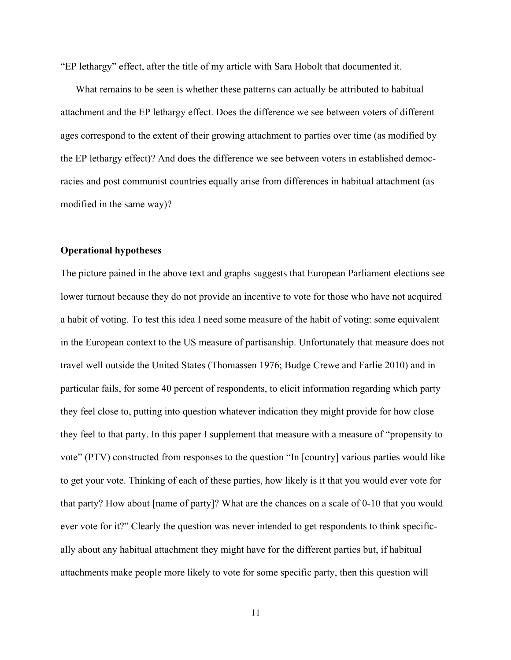"EP lethargy" effect, after the title of my article with Sara Hobolt that documented it.

What remains to be seen is whether these patterns can actually be attributed to habitual attachment and the EP lethargy effect. Does the difference we see between voters of different ages correspond to the extent of their growing attachment to parties over time (as modified by the EP lethargy effect)? And does the difference we see between voters in established democracies and post communist countries equally arise from differences in habitual attachment (as modified in the same way)?

## **Operational hypotheses**

The picture pained in the above text and graphs suggests that European Parliament elections see lower turnout because they do not provide an incentive to vote for those who have not acquired a habit of voting. To test this idea I need some measure of the habit of voting: some equivalent in the European context to the US measure of partisanship. Unfortunately that measure does not travel well outside the United States (Thomassen 1976; Budge Crewe and Farlie 2010) and in particular fails, for some 40 percent of respondents, to elicit information regarding which party they feel close to, putting into question whatever indication they might provide for how close they feel to that party. In this paper I supplement that measure with a measure of "propensity to vote" (PTV) constructed from responses to the question "In [country] various parties would like to get your vote. Thinking of each of these parties, how likely is it that you would ever vote for that party? How about [name of party]? What are the chances on a scale of 0-10 that you would ever vote for it?" Clearly the question was never intended to get respondents to think specifically about any habitual attachment they might have for the different parties but, if habitual attachments make people more likely to vote for some specific party, then this question will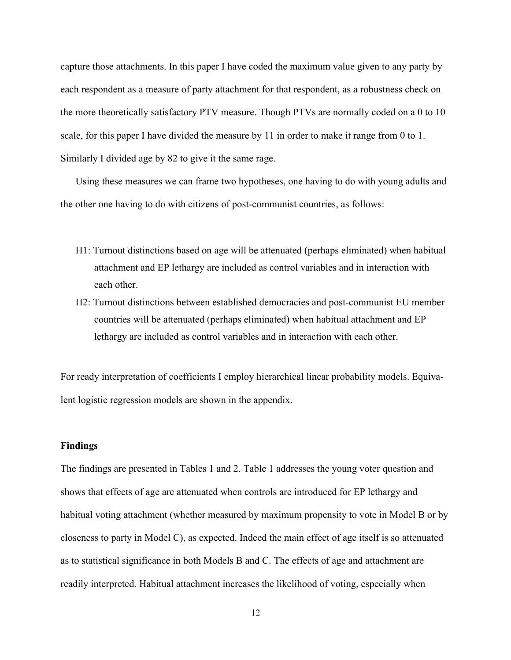capture those attachments. In this paper I have coded the maximum value given to any party by each respondent as a measure of party attachment for that respondent, as a robustness check on the more theoretically satisfactory PTV measure. Though PTVs are normally coded on a 0 to 10 scale, for this paper I have divided the measure by 11 in order to make it range from 0 to 1. Similarly I divided age by 82 to give it the same rage.

Using these measures we can frame two hypotheses, one having to do with young adults and the other one having to do with citizens of post-communist countries, as follows:

- H1: Turnout distinctions based on age will be attenuated (perhaps eliminated) when habitual attachment and EP lethargy are included as control variables and in interaction with each other.
- H2: Turnout distinctions between established democracies and post-communist EU member countries will be attenuated (perhaps eliminated) when habitual attachment and EP lethargy are included as control variables and in interaction with each other.

For ready interpretation of coefficients I employ hierarchical linear probability models. Equivalent logistic regression models are shown in the appendix.

#### **Findings**

The findings are presented in Tables 1 and 2. Table 1 addresses the young voter question and shows that effects of age are attenuated when controls are introduced for EP lethargy and habitual voting attachment (whether measured by maximum propensity to vote in Model B or by closeness to party in Model C), as expected. Indeed the main effect of age itself is so attenuated as to statistical significance in both Models B and C. The effects of age and attachment are readily interpreted. Habitual attachment increases the likelihood of voting, especially when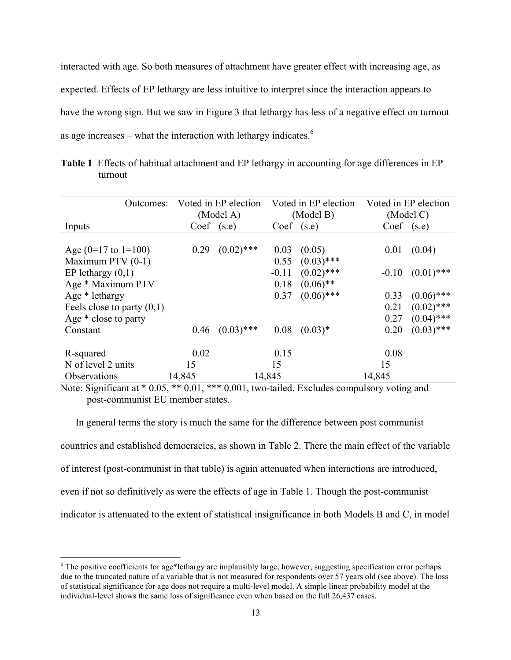interacted with age. So both measures of attachment have greater effect with increasing age, as expected. Effects of EP lethargy are less intuitive to interpret since the interaction appears to have the wrong sign. But we saw in Figure 3 that lethargy has less of a negative effect on turnout as age increases – what the interaction with lethargy indicates.<sup>6</sup>

| Outcomes:                    |                | Voted in EP election |         | Voted in EP election |           | Voted in EP election |  |
|------------------------------|----------------|----------------------|---------|----------------------|-----------|----------------------|--|
|                              |                | (Model A)            |         | (Model B)            | (Model C) |                      |  |
| Inputs                       | $Coef$ $(s.e)$ |                      | Coef    | (s.e)                | Coef      | (s.e)                |  |
|                              |                |                      |         |                      |           |                      |  |
| Age $(0=17$ to $1=100)$      | 0.29           | $(0.02)$ ***         | 0.03    | (0.05)               | 0.01      | (0.04)               |  |
| Maximum PTV (0-1)            |                |                      | 0.55    | $(0.03)$ ***         |           |                      |  |
| EP lethargy $(0,1)$          |                |                      | $-0.11$ | $(0.02)$ ***         | $-0.10$   | $(0.01)$ ***         |  |
| Age * Maximum PTV            |                |                      | 0.18    | $(0.06)$ **          |           |                      |  |
| Age * lethargy               |                |                      | 0.37    | $(0.06)$ ***         | 0.33      | $(0.06)$ ***         |  |
| Feels close to party $(0,1)$ |                |                      |         |                      | 0.21      | $(0.02)$ ***         |  |
| Age * close to party         |                |                      |         |                      | 0.27      | $(0.04)$ ***         |  |
| Constant                     | 0.46           | $(0.03)$ ***         | 0.08    | $(0.03)*$            | 0.20      | $(0.03)$ ***         |  |
| R-squared                    | 0.02           |                      | 0.15    |                      | 0.08      |                      |  |
| N of level 2 units           | 15             |                      | 15      |                      | 15        |                      |  |
| Observations                 | 14,845         |                      | 14,845  |                      | 14,845    |                      |  |

**Table 1** Effects of habitual attachment and EP lethargy in accounting for age differences in EP turnout

Note: Significant at \* 0.05, \*\* 0.01, \*\*\* 0.001, two-tailed. Excludes compulsory voting and post-communist EU member states.

In general terms the story is much the same for the difference between post communist countries and established democracies, as shown in Table 2. There the main effect of the variable of interest (post-communist in that table) is again attenuated when interactions are introduced, even if not so definitively as were the effects of age in Table 1. Though the post-communist indicator is attenuated to the extent of statistical insignificance in both Models B and C, in model

 $6$  The positive coefficients for age\*lethargy are implausibly large, however, suggesting specification error perhaps due to the truncated nature of a variable that is not measured for respondents over 57 years old (see above). The loss of statistical significance for age does not require a multi-level model. A simple linear probability model at the individual-level shows the same loss of significance even when based on the full 26,437 cases.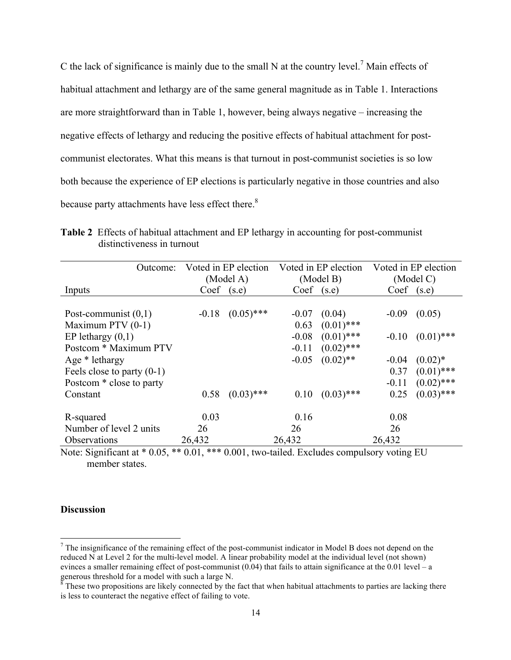C the lack of significance is mainly due to the small N at the country level.<sup>7</sup> Main effects of habitual attachment and lethargy are of the same general magnitude as in Table 1. Interactions are more straightforward than in Table 1, however, being always negative – increasing the negative effects of lethargy and reducing the positive effects of habitual attachment for postcommunist electorates. What this means is that turnout in post-communist societies is so low both because the experience of EP elections is particularly negative in those countries and also because party attachments have less effect there.<sup>8</sup>

| Outcome:                     | Voted in EP election |              |                | Voted in EP election | Voted in EP election |              |
|------------------------------|----------------------|--------------|----------------|----------------------|----------------------|--------------|
|                              | (Model A)            |              |                | (Model B)            | (Model C)            |              |
| Inputs                       | $Coef$ (s.e)         |              | $Coef$ $(s.e)$ |                      | $Coef$ (s.e)         |              |
|                              |                      |              |                |                      |                      |              |
| Post-communist $(0,1)$       | $-0.18$              | $(0.05)$ *** | $-0.07$        | (0.04)               | $-0.09$              | (0.05)       |
| Maximum PTV (0-1)            |                      |              | 0.63           | $(0.01)$ ***         |                      |              |
| EP lethargy $(0,1)$          |                      |              | $-0.08$        | $(0.01)$ ***         | $-0.10$              | $(0.01)$ *** |
| Postcom * Maximum PTV        |                      |              | $-0.11$        | $(0.02)$ ***         |                      |              |
| Age * lethargy               |                      |              | $-0.05$        | $(0.02)$ **          | $-0.04$              | $(0.02)^*$   |
| Feels close to party $(0-1)$ |                      |              |                |                      | 0.37                 | $(0.01)$ *** |
| Postcom * close to party     |                      |              |                |                      | $-0.11$              | $(0.02)$ *** |
| Constant                     | 0.58                 | $(0.03)$ *** | 0.10           | $(0.03)$ ***         | 0.25                 | $(0.03)$ *** |
| R-squared                    | 0.03                 |              | 0.16           |                      | 0.08                 |              |
| Number of level 2 units      | 26                   |              | 26             |                      | 26                   |              |
| Observations                 | 26,432               |              | 26,432         |                      | 26,432               |              |

**Table 2** Effects of habitual attachment and EP lethargy in accounting for post-communist distinctiveness in turnout

Note: Significant at \* 0.05, \*\* 0.01, \*\*\* 0.001, two-tailed. Excludes compulsory voting EU member states.

# **Discussion**

 $<sup>7</sup>$  The insignificance of the remaining effect of the post-communist indicator in Model B does not depend on the</sup> reduced N at Level 2 for the multi-level model. A linear probability model at the individual level (not shown) evinces a smaller remaining effect of post-communist (0.04) that fails to attain significance at the 0.01 level – a generous threshold for a model with such a large N.

 $\frac{8}{3}$  These two propositions are likely connected by the fact that when habitual attachments to parties are lacking there is less to counteract the negative effect of failing to vote.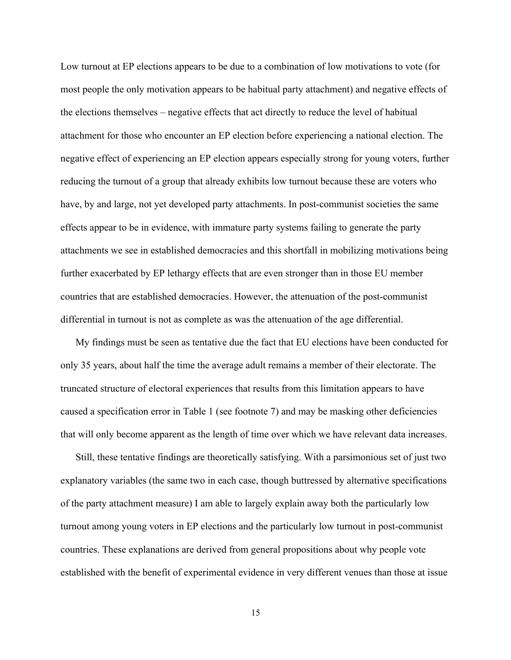Low turnout at EP elections appears to be due to a combination of low motivations to vote (for most people the only motivation appears to be habitual party attachment) and negative effects of the elections themselves – negative effects that act directly to reduce the level of habitual attachment for those who encounter an EP election before experiencing a national election. The negative effect of experiencing an EP election appears especially strong for young voters, further reducing the turnout of a group that already exhibits low turnout because these are voters who have, by and large, not yet developed party attachments. In post-communist societies the same effects appear to be in evidence, with immature party systems failing to generate the party attachments we see in established democracies and this shortfall in mobilizing motivations being further exacerbated by EP lethargy effects that are even stronger than in those EU member countries that are established democracies. However, the attenuation of the post-communist differential in turnout is not as complete as was the attenuation of the age differential.

My findings must be seen as tentative due the fact that EU elections have been conducted for only 35 years, about half the time the average adult remains a member of their electorate. The truncated structure of electoral experiences that results from this limitation appears to have caused a specification error in Table 1 (see footnote 7) and may be masking other deficiencies that will only become apparent as the length of time over which we have relevant data increases.

Still, these tentative findings are theoretically satisfying. With a parsimonious set of just two explanatory variables (the same two in each case, though buttressed by alternative specifications of the party attachment measure) I am able to largely explain away both the particularly low turnout among young voters in EP elections and the particularly low turnout in post-communist countries. These explanations are derived from general propositions about why people vote established with the benefit of experimental evidence in very different venues than those at issue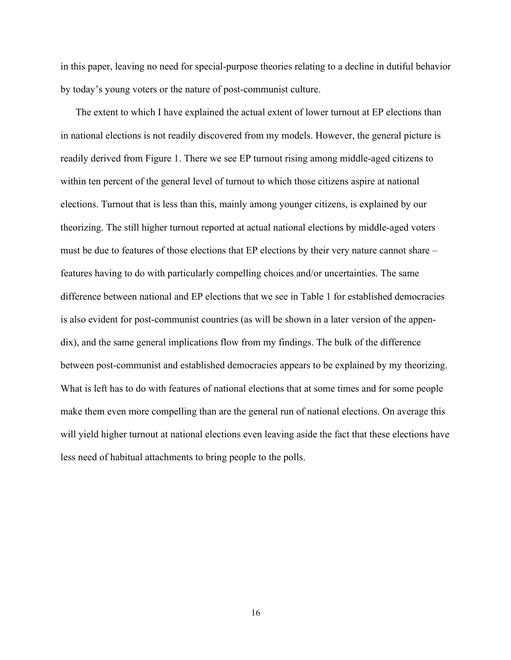in this paper, leaving no need for special-purpose theories relating to a decline in dutiful behavior by today's young voters or the nature of post-communist culture.

The extent to which I have explained the actual extent of lower turnout at EP elections than in national elections is not readily discovered from my models. However, the general picture is readily derived from Figure 1. There we see EP turnout rising among middle-aged citizens to within ten percent of the general level of turnout to which those citizens aspire at national elections. Turnout that is less than this, mainly among younger citizens, is explained by our theorizing. The still higher turnout reported at actual national elections by middle-aged voters must be due to features of those elections that EP elections by their very nature cannot share – features having to do with particularly compelling choices and/or uncertainties. The same difference between national and EP elections that we see in Table 1 for established democracies is also evident for post-communist countries (as will be shown in a later version of the appendix), and the same general implications flow from my findings. The bulk of the difference between post-communist and established democracies appears to be explained by my theorizing. What is left has to do with features of national elections that at some times and for some people make them even more compelling than are the general run of national elections. On average this will yield higher turnout at national elections even leaving aside the fact that these elections have less need of habitual attachments to bring people to the polls.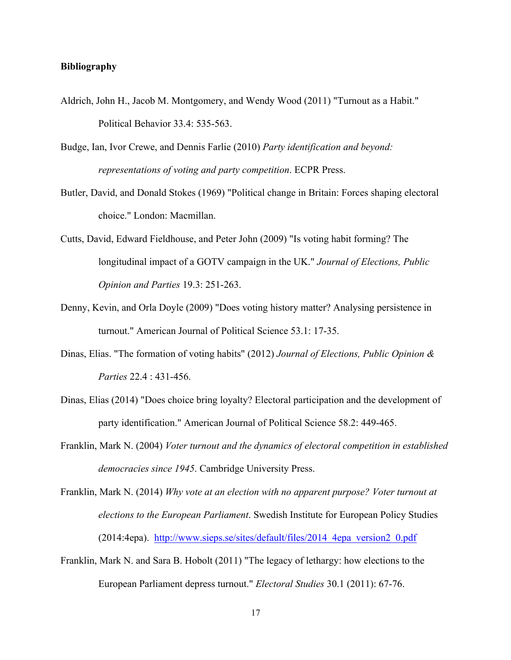## **Bibliography**

- Aldrich, John H., Jacob M. Montgomery, and Wendy Wood (2011) "Turnout as a Habit." Political Behavior 33.4: 535-563.
- Budge, Ian, Ivor Crewe, and Dennis Farlie (2010) *Party identification and beyond: representations of voting and party competition*. ECPR Press.
- Butler, David, and Donald Stokes (1969) "Political change in Britain: Forces shaping electoral choice." London: Macmillan.
- Cutts, David, Edward Fieldhouse, and Peter John (2009) "Is voting habit forming? The longitudinal impact of a GOTV campaign in the UK." *Journal of Elections, Public Opinion and Parties* 19.3: 251-263.
- Denny, Kevin, and Orla Doyle (2009) "Does voting history matter? Analysing persistence in turnout." American Journal of Political Science 53.1: 17-35.
- Dinas, Elias. "The formation of voting habits" (2012) *Journal of Elections, Public Opinion & Parties* 22.4 : 431-456.
- Dinas, Elias (2014) "Does choice bring loyalty? Electoral participation and the development of party identification." American Journal of Political Science 58.2: 449-465.
- Franklin, Mark N. (2004) *Voter turnout and the dynamics of electoral competition in established democracies since 1945*. Cambridge University Press.
- Franklin, Mark N. (2014) *Why vote at an election with no apparent purpose? Voter turnout at elections to the European Parliament*. Swedish Institute for European Policy Studies (2014:4epa). http://www.sieps.se/sites/default/files/2014\_4epa\_version2\_0.pdf
- Franklin, Mark N. and Sara B. Hobolt (2011) "The legacy of lethargy: how elections to the European Parliament depress turnout." *Electoral Studies* 30.1 (2011): 67-76.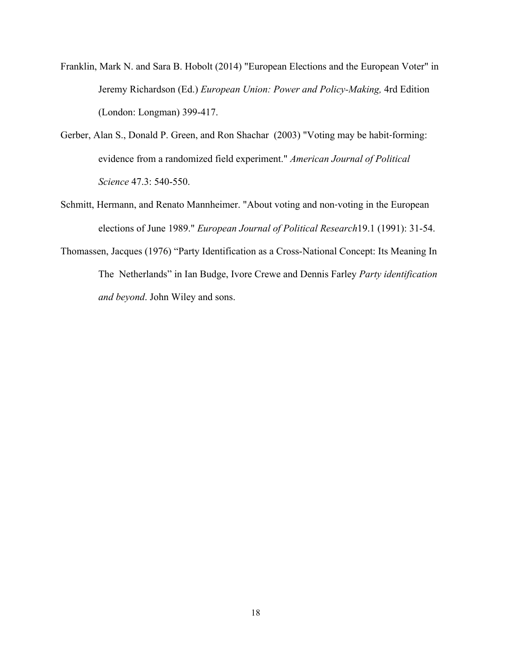- Franklin, Mark N. and Sara B. Hobolt (2014) "European Elections and the European Voter" in Jeremy Richardson (Ed.) *European Union: Power and Policy-Making,* 4rd Edition (London: Longman) 399-417.
- Gerber, Alan S., Donald P. Green, and Ron Shachar (2003) "Voting may be habit-forming: evidence from a randomized field experiment." *American Journal of Political Science* 47.3: 540-550.
- Schmitt, Hermann, and Renato Mannheimer. "About voting and non‐voting in the European elections of June 1989." *European Journal of Political Research*19.1 (1991): 31-54.
- Thomassen, Jacques (1976) "Party Identification as a Cross-National Concept: Its Meaning In The Netherlands" in Ian Budge, Ivore Crewe and Dennis Farley *Party identification and beyond*. John Wiley and sons.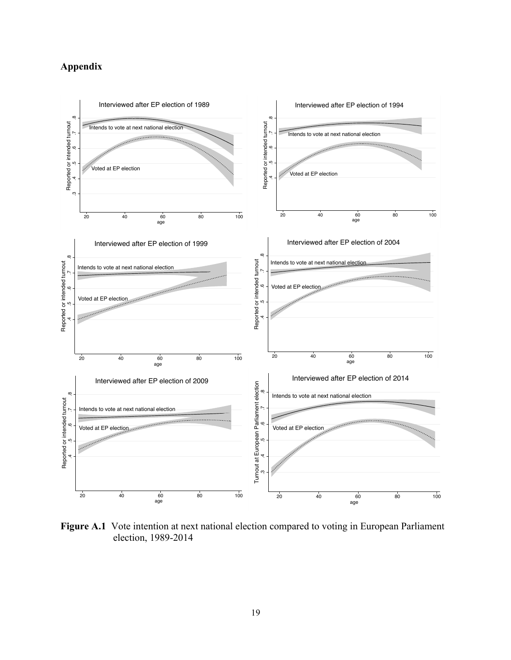# **Appendix**



Figure A.1 Vote intention at next national election compared to voting in European Parliament election, 1989-2014